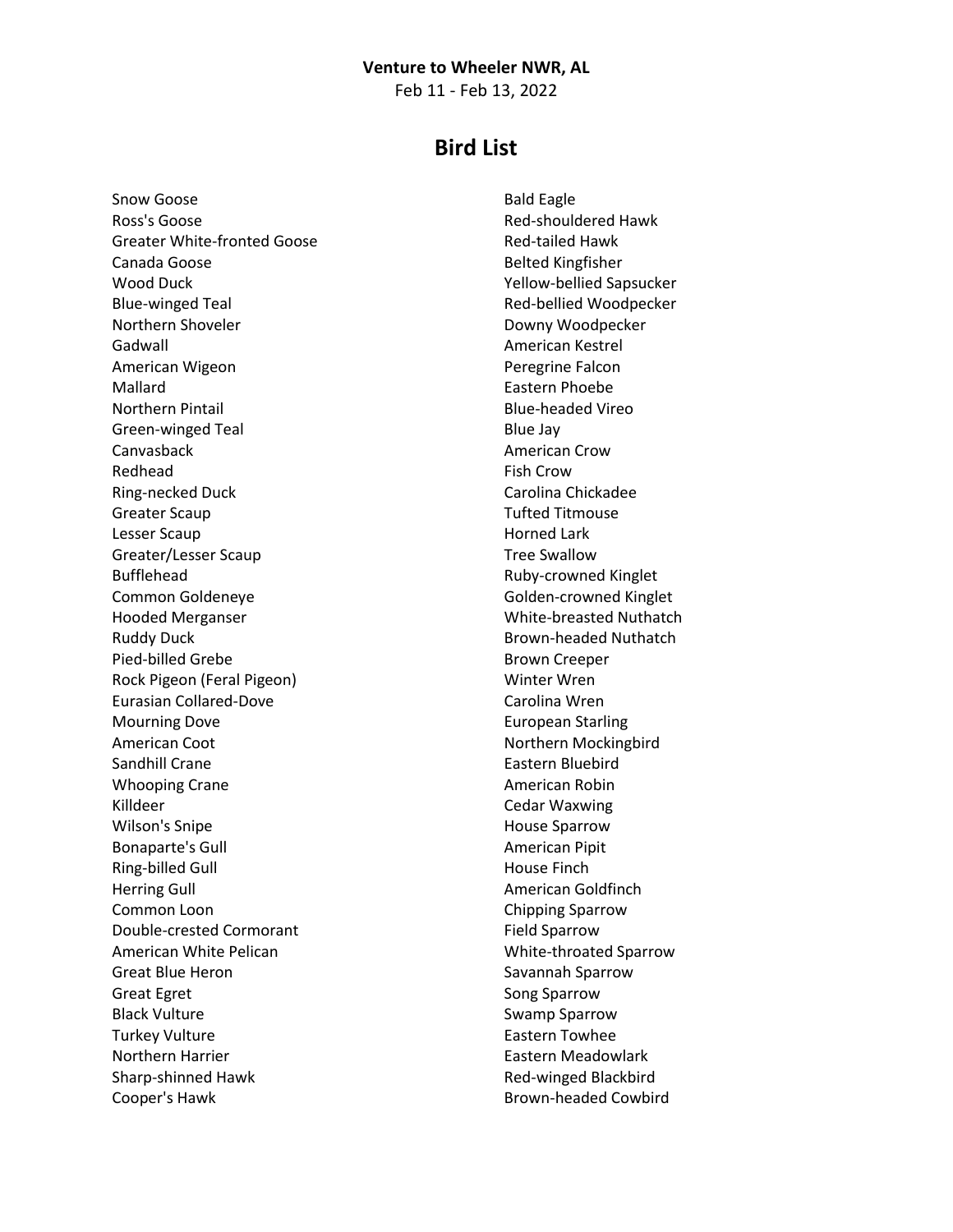## **Venture to Wheeler NWR, AL**

Feb 11 - Feb 13, 2022

## **Bird List**

Snow Goose Ross's Goose Greater White-fronted Goose Canada Goose Wood Duck Blue-winged Teal Northern Shoveler Gadwall American Wigeon Mallard Northern Pintail Green-winged Teal Canvasback Redhead Ring-necked Duck Greater Scaup Lesser Scaup Greater/Lesser Scaup Bufflehead Common Goldeneye Hooded Merganser Ruddy Duck Pied-billed Grebe Rock Pigeon (Feral Pigeon) Eurasian Collared-Dove Mourning Dove American Coot Sandhill Crane Whooping Crane Killdeer Wilson's Snipe Bonaparte's Gull Ring-billed Gull Herring Gull Common Loon Double-crested Cormorant American White Pelican Great Blue Heron Great Egret Black Vulture Turkey Vulture Northern Harrier Sharp-shinned Hawk Cooper's Hawk

Bald Eagle Red-shouldered Hawk Red-tailed Hawk Belted Kingfisher Yellow-bellied Sapsucker Red-bellied Woodpecker Downy Woodpecker American Kestrel Peregrine Falcon Eastern Phoebe Blue-headed Vireo Blue Jay American Crow Fish Crow Carolina Chickadee Tufted Titmouse Horned Lark Tree Swallow Ruby-crowned Kinglet Golden-crowned Kinglet White-breasted Nuthatch Brown-headed Nuthatch Brown Creeper Winter Wren Carolina Wren European Starling Northern Mockingbird Eastern Bluebird American Robin Cedar Waxwing House Sparrow American Pipit House Finch American Goldfinch Chipping Sparrow Field Sparrow White-throated Sparrow Savannah Sparrow Song Sparrow Swamp Sparrow Eastern Towhee Eastern Meadowlark Red-winged Blackbird Brown-headed Cowbird